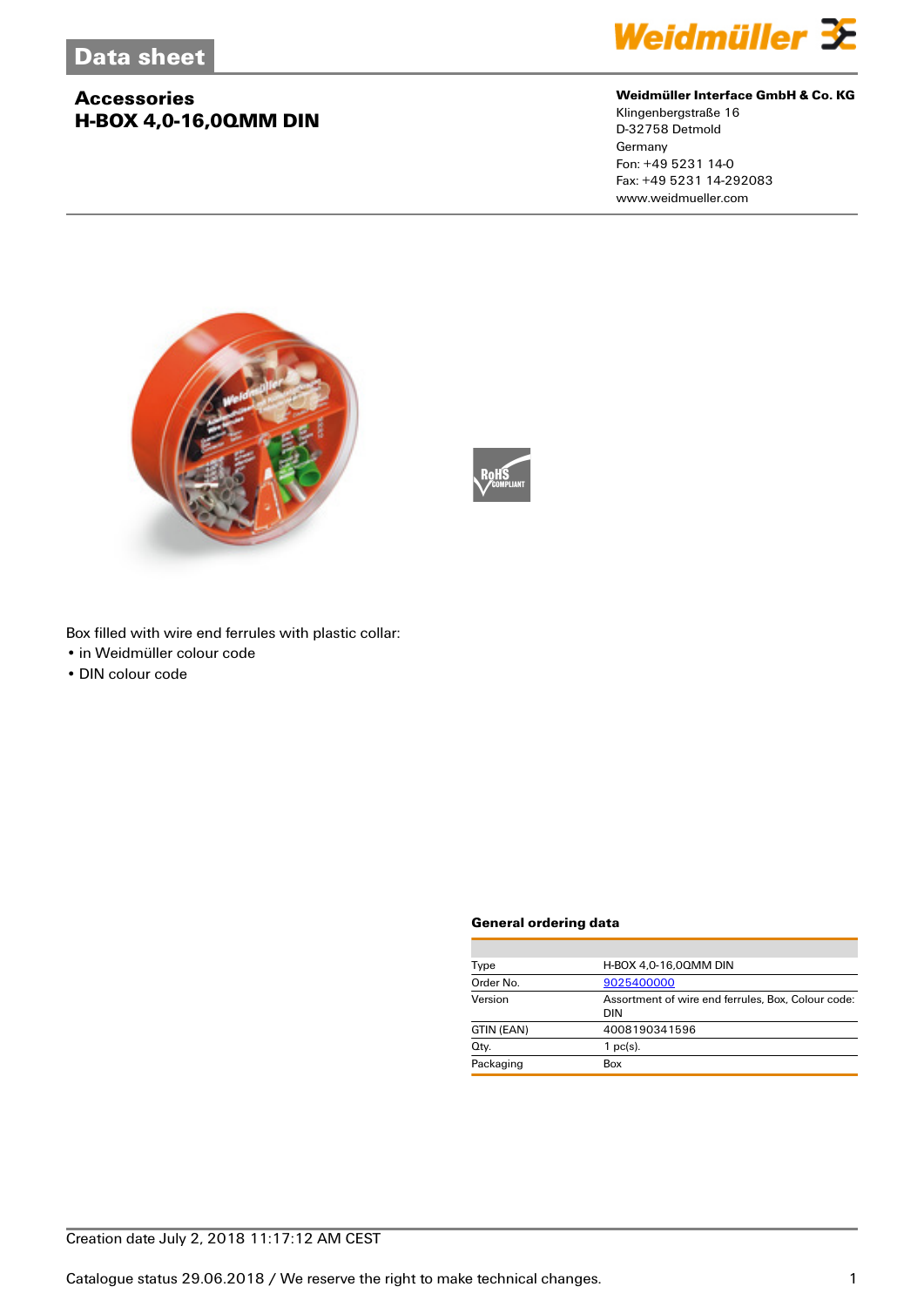# **Accessories H-BOX 4,0-16,0QMM DIN**



#### **Weidmüller Interface GmbH & Co. KG**

Klingenbergstraße 16 D-32758 Detmold Germany Fon: +49 5231 14-0 Fax: +49 5231 14-292083 www.weidmueller.com





Box filled with wire end ferrules with plastic collar:

- in Weidmüller colour code
- DIN colour code

#### **General ordering data**

| H-BOX 4.0-16.00MM DIN                                            |  |  |
|------------------------------------------------------------------|--|--|
| 9025400000                                                       |  |  |
| Assortment of wire end ferrules, Box, Colour code:<br><b>DIN</b> |  |  |
| 4008190341596                                                    |  |  |
| $1$ pc(s).                                                       |  |  |
| Box                                                              |  |  |
|                                                                  |  |  |